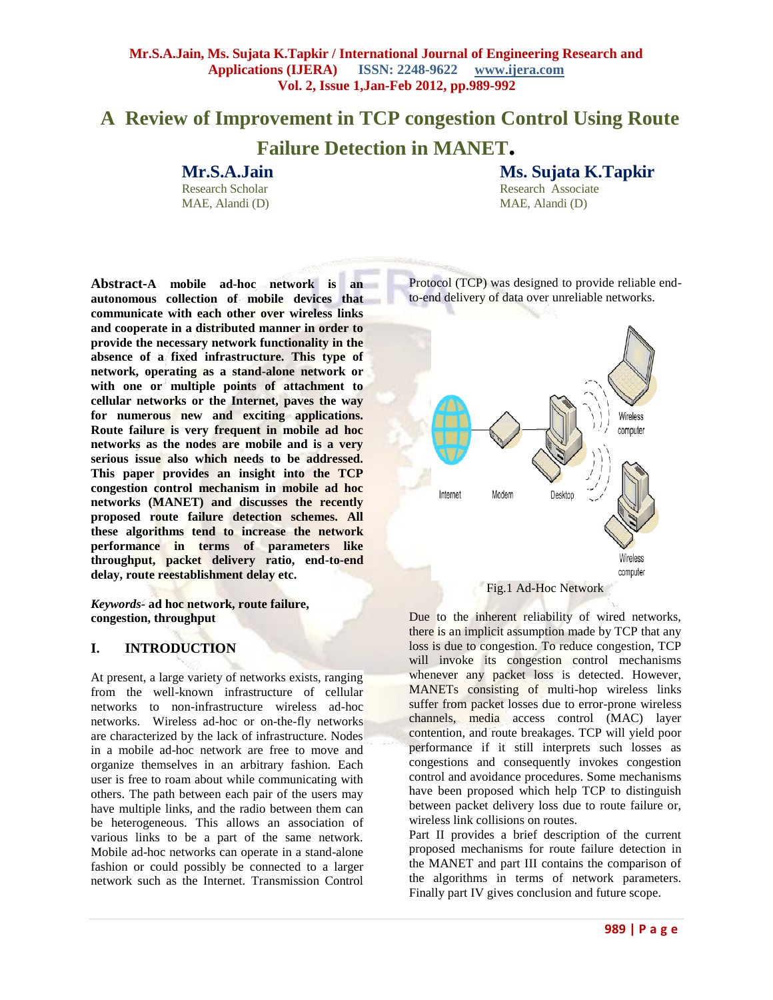# **A Review of Improvement in TCP congestion Control Using Route Failure Detection in MANET.**

# **Mr.S.A.Jain**

Research Scholar MAE, Alandi (D) **Ms. Sujata K.Tapkir** Research Associate

**Abstract-A mobile ad-hoc network is an autonomous collection of mobile devices that communicate with each other over wireless links and cooperate in a distributed manner in order to provide the necessary network functionality in the absence of a fixed infrastructure. This type of network, operating as a stand-alone network or with one or multiple points of attachment to cellular networks or the Internet, paves the way for numerous new and exciting applications. Route failure is very frequent in mobile ad hoc networks as the nodes are mobile and is a very serious issue also which needs to be addressed. This paper provides an insight into the TCP congestion control mechanism in mobile ad hoc networks (MANET) and discusses the recently proposed route failure detection schemes. All these algorithms tend to increase the network performance in terms of parameters like throughput, packet delivery ratio, end-to-end delay, route reestablishment delay etc.**

*Keywords-* **ad hoc network, route failure, congestion, throughput** 

# **I. INTRODUCTION**

At present, a large variety of networks exists, ranging from the well-known infrastructure of cellular networks to non-infrastructure wireless ad-hoc networks. Wireless ad-hoc or on-the-fly networks are characterized by the lack of infrastructure. Nodes in a mobile ad-hoc network are free to move and organize themselves in an arbitrary fashion. Each user is free to roam about while communicating with others. The path between each pair of the users may have multiple links, and the radio between them can be heterogeneous. This allows an association of various links to be a part of the same network. Mobile ad-hoc networks can operate in a stand-alone fashion or could possibly be connected to a larger network such as the Internet. Transmission Control

Protocol (TCP) was designed to provide reliable end-

MAE, Alandi (D)



Due to the inherent reliability of wired networks, there is an implicit assumption made by TCP that any loss is due to congestion. To reduce congestion, TCP will invoke its congestion control mechanisms whenever any packet loss is detected. However, MANETs consisting of multi-hop wireless links suffer from packet losses due to error-prone wireless channels, media access control (MAC) layer contention, and route breakages. TCP will yield poor performance if it still interprets such losses as congestions and consequently invokes congestion control and avoidance procedures. Some mechanisms have been proposed which help TCP to distinguish between packet delivery loss due to route failure or, wireless link collisions on routes.

Part II provides a brief description of the current proposed mechanisms for route failure detection in the MANET and part III contains the comparison of the algorithms in terms of network parameters. Finally part IV gives conclusion and future scope.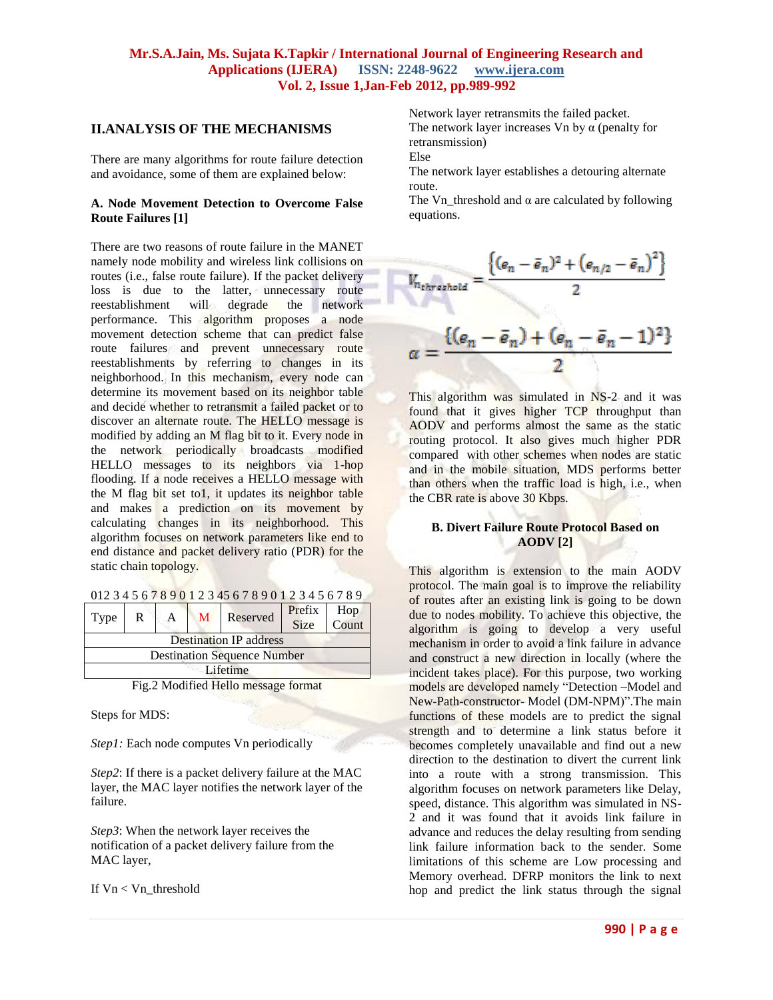## **II.ANALYSIS OF THE MECHANISMS**

There are many algorithms for route failure detection and avoidance, some of them are explained below:

#### **A. Node Movement Detection to Overcome False Route Failures [1]**

There are two reasons of route failure in the MANET namely node mobility and wireless link collisions on routes (i.e., false route failure). If the packet delivery loss is due to the latter, unnecessary route reestablishment will degrade the network performance. This algorithm proposes a node movement detection scheme that can predict false route failures and prevent unnecessary route reestablishments by referring to changes in its neighborhood. In this mechanism, every node can determine its movement based on its neighbor table and decide whether to retransmit a failed packet or to discover an alternate route. The HELLO message is modified by adding an M flag bit to it. Every node in the network periodically broadcasts modified HELLO messages to its neighbors via 1-hop flooding. If a node receives a HELLO message with the M flag bit set to1, it updates its neighbor table and makes a prediction on its movement by calculating changes in its neighborhood. This algorithm focuses on network parameters like end to end distance and packet delivery ratio (PDR) for the static chain topology.

| Type                                                                                                           | R |  | $\mathbf{M}$ | Reserved | Prefix<br><b>Size</b> | Hop<br>Count |
|----------------------------------------------------------------------------------------------------------------|---|--|--------------|----------|-----------------------|--------------|
| <b>Destination IP address</b>                                                                                  |   |  |              |          |                       |              |
| <b>Destination Sequence Number</b>                                                                             |   |  |              |          |                       |              |
| Lifetime                                                                                                       |   |  |              |          |                       |              |
| $\Gamma_{\rm ex}^{\rm s} \cap M_{\rm ex}$ different in the contract of $\Gamma_{\rm ex}$ and $\Gamma_{\rm ex}$ |   |  |              |          |                       |              |

Fig.2 Modified Hello message format

Steps for MDS:

*Step1:* Each node computes Vn periodically

*Step2*: If there is a packet delivery failure at the MAC layer, the MAC layer notifies the network layer of the failure.

*Step3*: When the network layer receives the notification of a packet delivery failure from the MAC layer,

If Vn < Vn\_threshold

Network layer retransmits the failed packet. The network layer increases Vn by  $\alpha$  (penalty for

retransmission)

Else

The network layer establishes a detouring alternate route.

The Vn\_threshold and  $\alpha$  are calculated by following equations.



This algorithm was simulated in NS-2 and it was found that it gives higher TCP throughput than AODV and performs almost the same as the static routing protocol. It also gives much higher PDR compared with other schemes when nodes are static and in the mobile situation, MDS performs better than others when the traffic load is high, i.e., when the CBR rate is above 30 Kbps.

#### **B. Divert Failure Route Protocol Based on AODV [2]**

This algorithm is extension to the main AODV protocol. The main goal is to improve the reliability of routes after an existing link is going to be down due to nodes mobility. To achieve this objective, the algorithm is going to develop a very useful mechanism in order to avoid a link failure in advance and construct a new direction in locally (where the incident takes place). For this purpose, two working models are developed namely "Detection –Model and New-Path-constructor- Model (DM-NPM)".The main functions of these models are to predict the signal strength and to determine a link status before it becomes completely unavailable and find out a new direction to the destination to divert the current link into a route with a strong transmission. This algorithm focuses on network parameters like Delay, speed, distance. This algorithm was simulated in NS-2 and it was found that it avoids link failure in advance and reduces the delay resulting from sending link failure information back to the sender. Some limitations of this scheme are Low processing and Memory overhead. DFRP monitors the link to next hop and predict the link status through the signal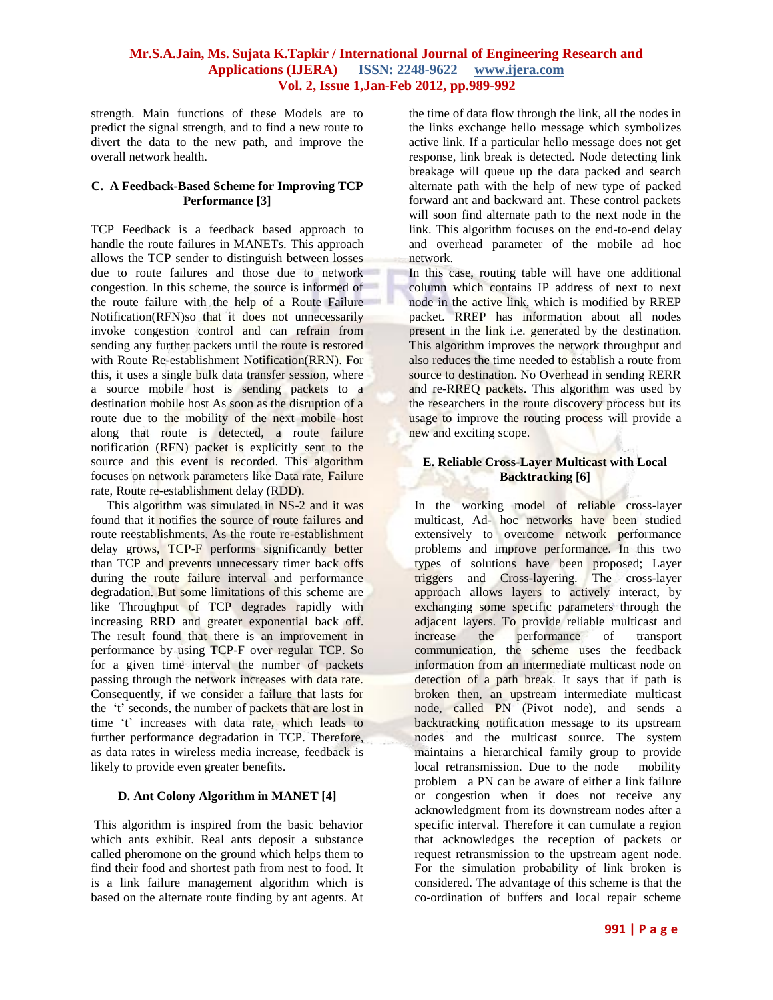strength. Main functions of these Models are to predict the signal strength, and to find a new route to divert the data to the new path, and improve the overall network health.

#### **C. A Feedback-Based Scheme for Improving TCP Performance [3]**

TCP Feedback is a feedback based approach to handle the route failures in MANETs. This approach allows the TCP sender to distinguish between losses due to route failures and those due to network congestion. In this scheme, the source is informed of the route failure with the help of a Route Failure Notification(RFN)so that it does not unnecessarily invoke congestion control and can refrain from sending any further packets until the route is restored with Route Re-establishment Notification(RRN). For this, it uses a single bulk data transfer session, where a source mobile host is sending packets to a destination mobile host As soon as the disruption of a route due to the mobility of the next mobile host along that route is detected, a route failure notification (RFN) packet is explicitly sent to the source and this event is recorded. This algorithm focuses on network parameters like Data rate, Failure rate, Route re-establishment delay (RDD).

 This algorithm was simulated in NS-2 and it was found that it notifies the source of route failures and route reestablishments. As the route re-establishment delay grows, TCP-F performs significantly better than TCP and prevents unnecessary timer back offs during the route failure interval and performance degradation. But some limitations of this scheme are like Throughput of TCP degrades rapidly with increasing RRD and greater exponential back off. The result found that there is an improvement in performance by using TCP-F over regular TCP. So for a given time interval the number of packets passing through the network increases with data rate. Consequently, if we consider a failure that lasts for the 't' seconds, the number of packets that are lost in time 't' increases with data rate, which leads to further performance degradation in TCP. Therefore, as data rates in wireless media increase, feedback is likely to provide even greater benefits.

#### **D. Ant Colony Algorithm in MANET [4]**

This algorithm is inspired from the basic behavior which ants exhibit. Real ants deposit a substance called pheromone on the ground which helps them to find their food and shortest path from nest to food. It is a link failure management algorithm which is based on the alternate route finding by ant agents. At the time of data flow through the link, all the nodes in the links exchange hello message which symbolizes active link. If a particular hello message does not get response, link break is detected. Node detecting link breakage will queue up the data packed and search alternate path with the help of new type of packed forward ant and backward ant. These control packets will soon find alternate path to the next node in the link. This algorithm focuses on the end-to-end delay and overhead parameter of the mobile ad hoc network.

In this case, routing table will have one additional column which contains IP address of next to next node in the active link, which is modified by RREP packet. RREP has information about all nodes present in the link i.e. generated by the destination. This algorithm improves the network throughput and also reduces the time needed to establish a route from source to destination. No Overhead in sending RERR and re-RREQ packets. This algorithm was used by the researchers in the route discovery process but its usage to improve the routing process will provide a new and exciting scope.

## **E. Reliable Cross-Layer Multicast with Local Backtracking [6]**

In the working model of reliable cross-layer multicast, Ad- hoc networks have been studied extensively to overcome network performance problems and improve performance. In this two types of solutions have been proposed; Layer triggers and Cross-layering. The cross-layer approach allows layers to actively interact, by exchanging some specific parameters through the adjacent layers. To provide reliable multicast and increase the performance of transport communication, the scheme uses the feedback information from an intermediate multicast node on detection of a path break. It says that if path is broken then, an upstream intermediate multicast node, called PN (Pivot node), and sends a backtracking notification message to its upstream nodes and the multicast source. The system maintains a hierarchical family group to provide local retransmission. Due to the node mobility problem a PN can be aware of either a link failure or congestion when it does not receive any acknowledgment from its downstream nodes after a specific interval. Therefore it can cumulate a region that acknowledges the reception of packets or request retransmission to the upstream agent node. For the simulation probability of link broken is considered. The advantage of this scheme is that the co-ordination of buffers and local repair scheme